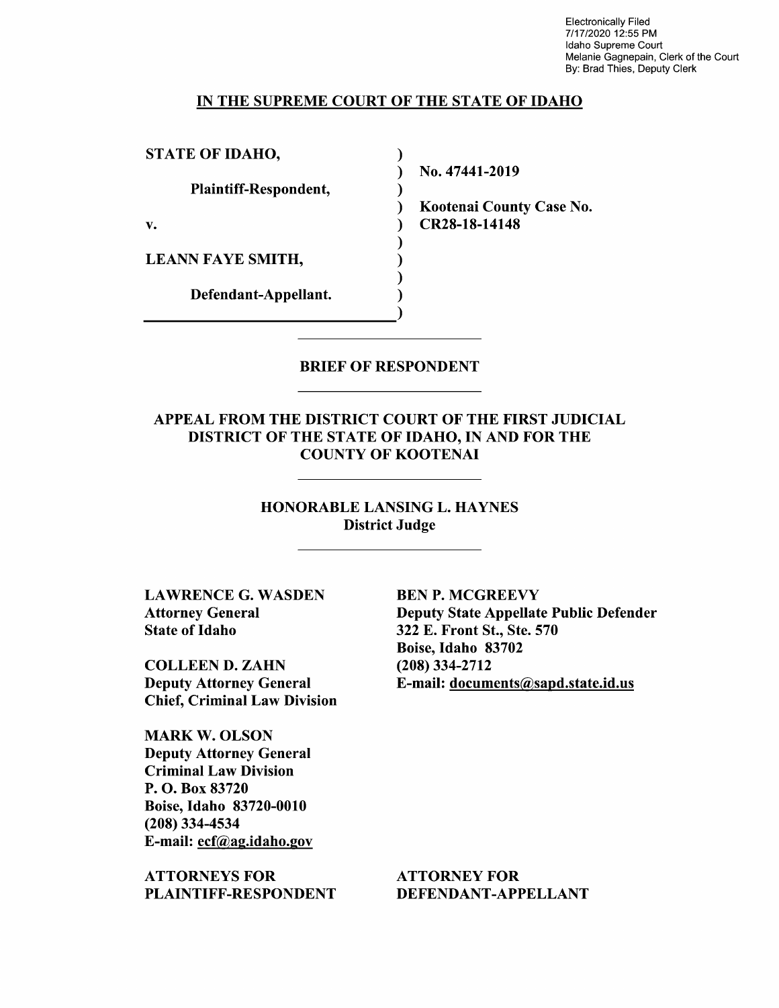Electronically Filed 7/1 7/2020 12:55 PM Idaho Supreme Court Melanie Gagnepain, Clerk of the Court By: Brad Thies, Deputy Clerk

#### IN THE SUPREME COURT OF THE STATE OF IDAHO

 $\lambda$ 

STATE OF IDAHO,

Plaintiff—Respondent,

LEANN FAYE SMITH,

Defendant—Appellant.

N0. 47441-2019

Kootenai County Case No. v. **CR28-18-14148** 

BRIEF OF RESPONDENT

APPEAL FROM THE DISTRICT COURT OF THE FIRST JUDICIAL DISTRICT OF THE STATE OF IDAHO, IN AND FOR THE COUNTY OF KOOTENAI

> HONORABLE LANSING L. HAYNES District Judge

LAWRENCE G. WASDEN Attorney General State 0f Idaho

COLLEEN D. ZAHN Deputy Attorney General Chief, Criminal Law Division

MARK W. OLSON Deputy Attorney General Criminal Law Division P. O. Box 83720 Boise, Idaho 83720-0010 (208) 334-4534 E-mail: ecf@ag.idah0.gov

ATTORNEYS FOR PLAINTIFF—RESPONDENT

BEN P. MCGREEVY Deputy State Appellate Public Defender 322 E. Front St., Ste. 570 Boise, Idaho 83702 (208) 334-2712 E-mail: documents@sapd.state.id.us

ATTORNEY FOR DEFENDANT-APPELLANT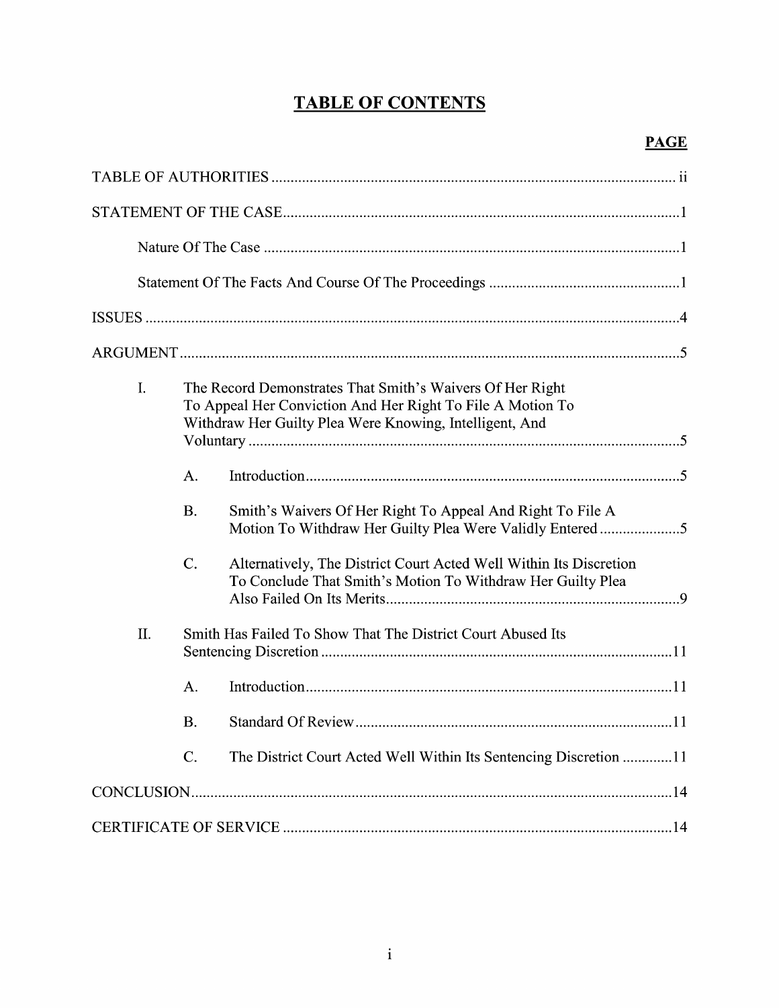# TABLE OF CONTENTS

| I. |                                                             | The Record Demonstrates That Smith's Waivers Of Her Right<br>To Appeal Her Conviction And Her Right To File A Motion To<br>Withdraw Her Guilty Plea Were Knowing, Intelligent, And |  |
|----|-------------------------------------------------------------|------------------------------------------------------------------------------------------------------------------------------------------------------------------------------------|--|
|    | A.                                                          |                                                                                                                                                                                    |  |
|    | <b>B.</b>                                                   | Smith's Waivers Of Her Right To Appeal And Right To File A<br>Motion To Withdraw Her Guilty Plea Were Validly Entered 5                                                            |  |
|    | $C$ .                                                       | Alternatively, The District Court Acted Well Within Its Discretion<br>To Conclude That Smith's Motion To Withdraw Her Guilty Plea                                                  |  |
| Π. | Smith Has Failed To Show That The District Court Abused Its |                                                                                                                                                                                    |  |
|    | A.                                                          |                                                                                                                                                                                    |  |
|    | <b>B.</b>                                                   |                                                                                                                                                                                    |  |
|    | $\mathcal{C}$ .                                             | The District Court Acted Well Within Its Sentencing Discretion 11                                                                                                                  |  |
|    |                                                             |                                                                                                                                                                                    |  |
|    |                                                             |                                                                                                                                                                                    |  |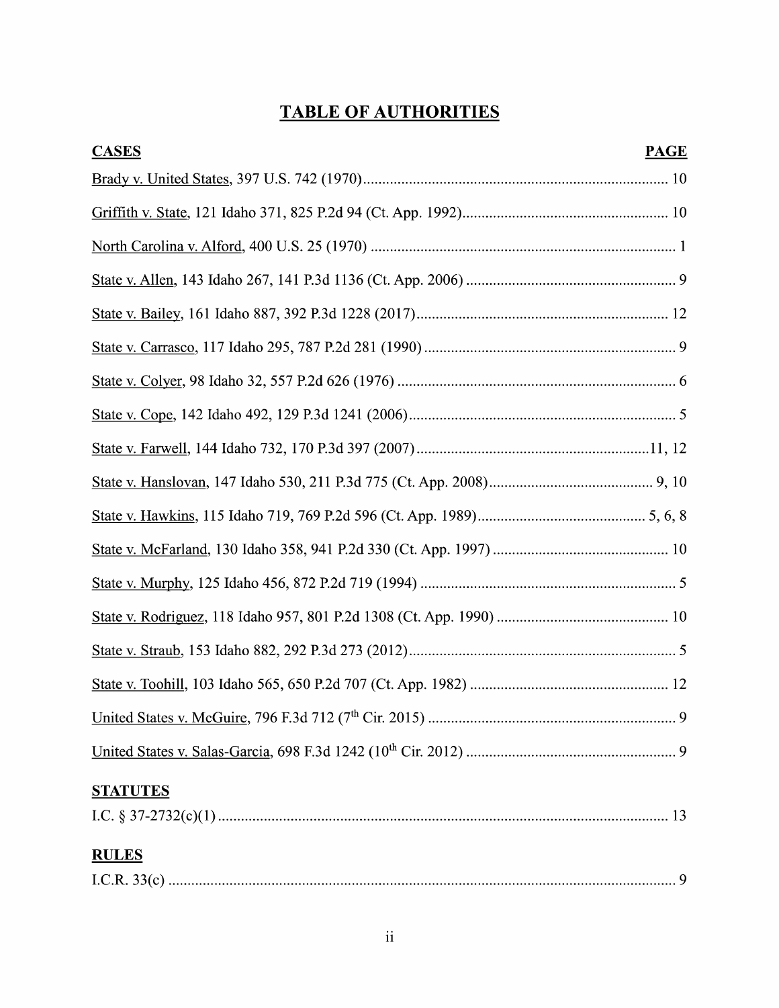# TABLE OF AUTHORITIES

| <b>CASES</b>    | <b>PAGE</b> |
|-----------------|-------------|
|                 |             |
|                 |             |
|                 |             |
|                 |             |
|                 |             |
|                 |             |
|                 |             |
|                 |             |
|                 |             |
|                 |             |
|                 |             |
|                 |             |
|                 |             |
|                 |             |
|                 |             |
|                 |             |
|                 |             |
|                 |             |
| <b>STATUTES</b> |             |
|                 |             |
| <b>RULES</b>    |             |
|                 |             |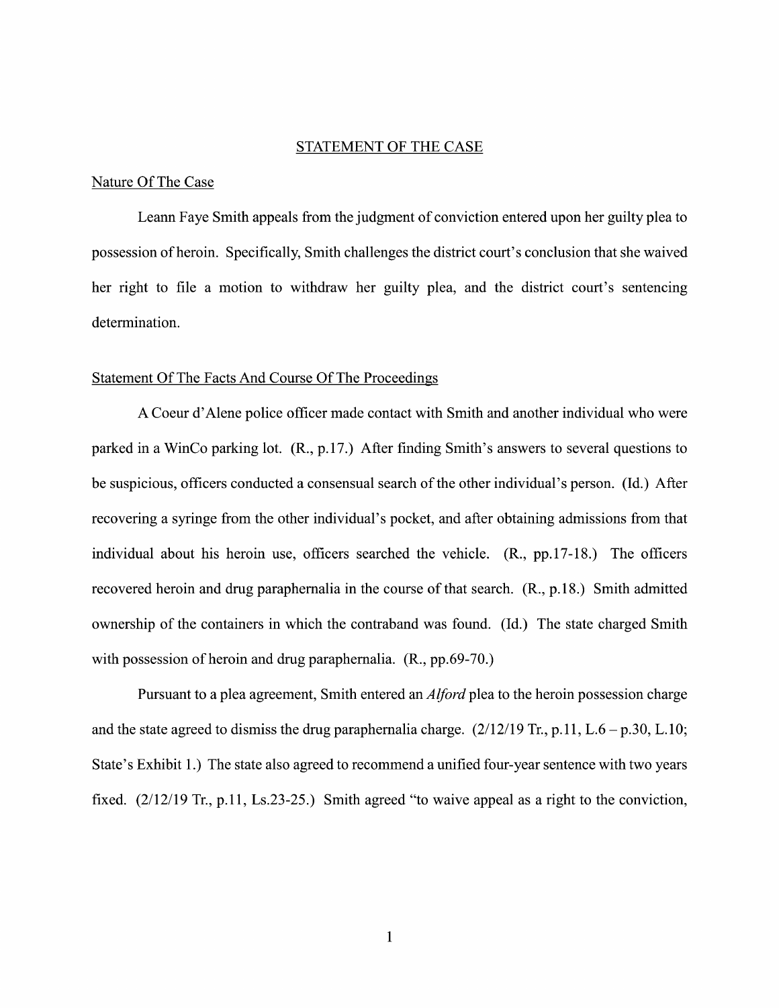#### STATEMENT OF THE CASE

#### Nature Of The Case

Leann Faye Smith appeals from the judgment of conviction entered upon her guilty plea to possession of heroin. Specifically, Smith challenges the district court's conclusion that she waived her right to file a motion to withdraw her guilty plea, and the district court's sentencing determination.

#### Statement Of The Facts And Course Of The Proceedings

Coeur d'Alene police officer made contact With Smith and another individual Who were parked in a WinCo parking lot. (R., p.17.) After finding Smith's answers to several questions to be suspicious, officers conducted a consensual search of the other individual's person. (Id.) After recovering a syringe from the other individual's pocket, and after obtaining admissions from that individual about his heroin use, officers searched the vehicle. (R., pp.17-18.) The officers recovered heroin and drug paraphernalia in the course of that search. (R., p.18.) Smith admitted ownership 0f the containers in Which the contraband was found. (Id.) The state charged Smith with possession of heroin and drug paraphernalia. (R., pp.69-70.)

Pursuant to a plea agreement, Smith entered an *Alford* plea to the heroin possession charge and the state agreed to dismiss the drug paraphernalia charge.  $(2/12/19$  Tr., p. 11, L.6 – p.30, L.10; State's Exhibit 1.) The state also agreed to recommend a unified four-year sentence with two years fixed.  $(2/12/19$  Tr., p.11, Ls.23-25.) Smith agreed "to waive appeal as a right to the conviction,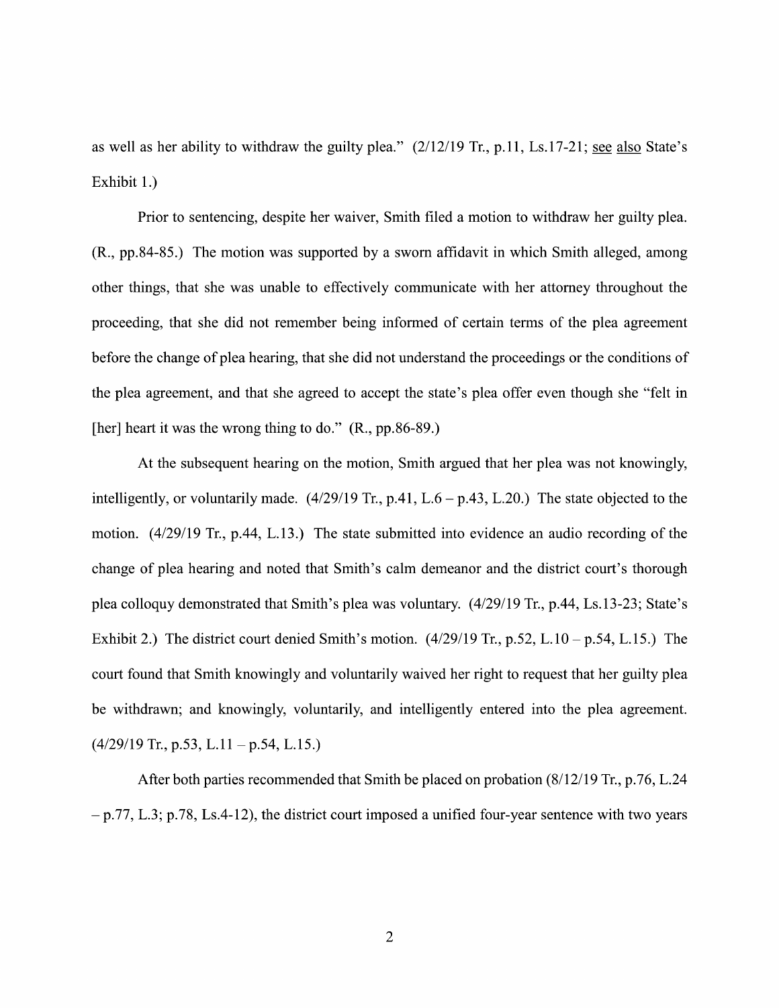as well as her ability to withdraw the guilty plea."  $(2/12/19$  Tr., p.11, Ls.17-21; see also State's Exhibit 1.)

Prior to sentencing, despite her waiver, Smith filed a motion to withdraw her guilty plea. (R., pp.84-85.) The motion was supported by sworn affidavit in which Smith alleged, among other things, that she was unable to effectively communicate With her attorney throughout the proceeding, that she did not remember being informed of certain terms of the plea agreement before the change of plea hearing, that she did not understand the proceedings or the conditions of the plea agreement, and that she agreed to accept the state's plea offer even though she "felt in [her] heart it was the wrong thing to do." (R., pp.86-89.)

At the subsequent hearing on the motion, Smith argued that her plea was not knowingly, intelligently, or voluntarily made.  $(4/29/19 \text{ Tr.}, p.41, L.6 - p.43, L.20)$  The state objected to the motion. (4/29/19 Tr., p.44, L.13.) The state submitted into evidence an audio recording of the change of plea hearing and noted that Smith's calm demeanor and the district court's thorough plea colloquy demonstrated that Smith's plea was voluntary. (4/29/19 Tr., p.44, Ls.13-23; State's Exhibit 2.) The district court denied Smith's motion.  $(4/29/19$  Tr., p.52, L.10 – p.54, L.15.) The court found that Smith knowingly and voluntarily waived her right to request that her guilty plea be Withdrawn; and knowingly, voluntarily, and intelligently entered into the plea agreement.  $(4/29/19$  Tr., p.53, L.11 – p.54, L.15.)

After both parties recommended that Smith be placed on probation  $(8/12/19)$  Tr., p.76, L.24  $-p.77$ , L.3; p.78, Ls.4-12), the district court imposed a unified four-year sentence with two years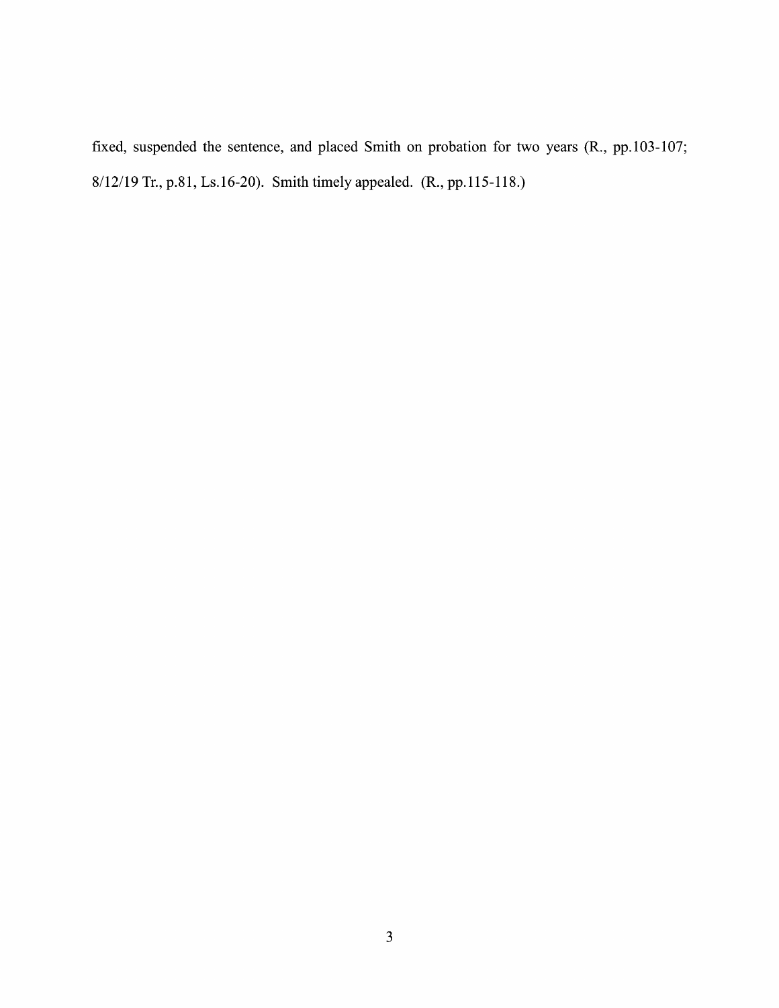fixed, suspended the sentence, and placed Smith on probation for two years (R., pp.103-107; 8/12/19 Tr., p.81, Ls.16-20). Smith timely appealed. (R., pp. 115-118.)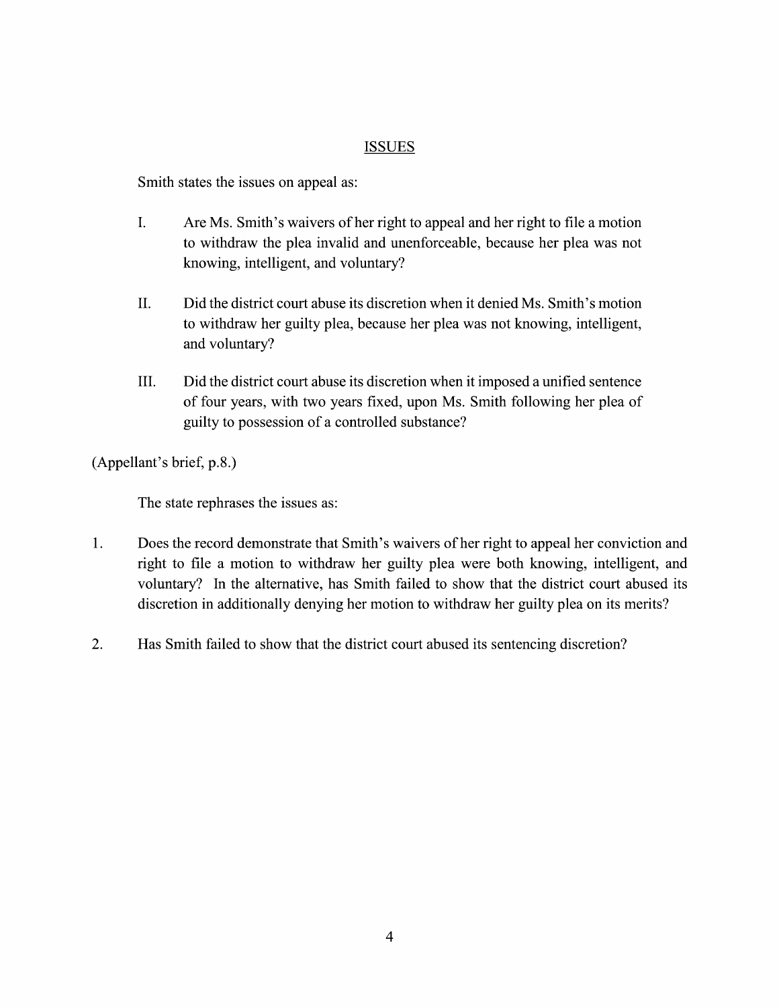## ISSUES

Smith states the issues on appeal as:

- I. Are Ms. Smith's waivers of her right to appeal and her right to file a motion to withdraw the plea invalid and unenforceable, because her plea was not knowing, intelligent, and voluntary?
- II. Did the district court abuse its discretion When it denied Ms. Smith's motion to withdraw her guilty plea, because her plea was not knowing, intelligent, and voluntary?
- III. Did the district court abuse its discretion when it imposed a unified sentence 0f four years, with two years fixed, upon Ms. Smith following her plea of guilty to possession of a controlled substance?

(Appellant's brief, p.8.)

The state rephrases the issues as:

- 1. Does the record demonstrate that Smith's waivers of her right to appeal her conviction and Does the record demonstrate that Smith's waivers of her right to appeal her conviction and<br>right to file a motion to withdraw her guilty plea were both knowing, intelligent, and voluntary? In the alternative, has Smith failed to show that the district court abused its discretion in additionally denying her motion to withdraw her guilty plea 0n its merits?
- 2. Has Smith failed to show that the district court abused its sentencing discretion?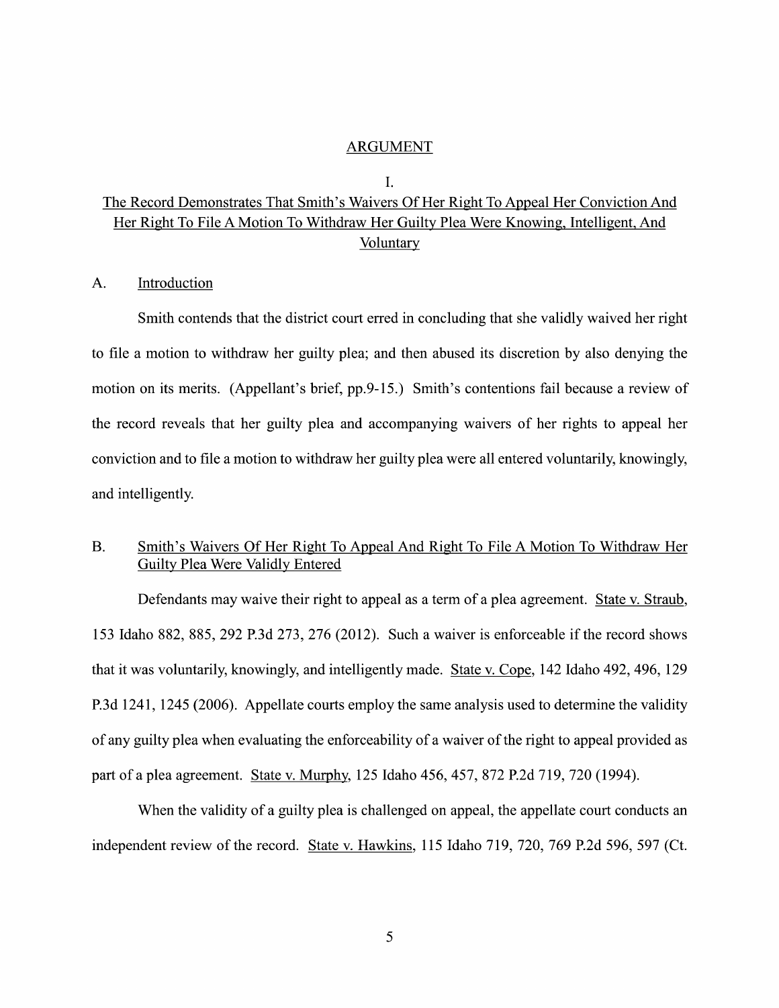#### ARGUMENT

#### I.

# The Record Demonstrates That Smith's Waivers Of Her Right To Appeal Her Conviction And Her Right To File A Motion To Withdraw Her Guilty Plea Were Knowing, Intelligent, And<br>Voluntary

#### A. Introduction

Smith contends that the district court erred in concluding that she validly waived her right to file motion to withdraw her guilty plea; and then abused its discretion by also denying the motion on its merits. (Appellant's brief, pp.9-15.) Smith's contentions fail because a review of the record reveals that her guilty plea and accompanying waivers of her rights to appeal her conviction and to file a motion to withdraw her guilty plea were all entered voluntarily, knowingly, and intelligently.

# B. Smith's Waivers Of Her Right To Appeal And Right To File A Motion To Withdraw Her Guilty Plea Were Validlv Entered

Defendants may waive their right to appeal as a term of a plea agreement. State v. Straub, 153 Idaho 882, 885, 292 P.3d 273, 276 (2012). Such waiver is enforceable if the record shows that it was voluntarily, knowingly, and intelligently made. State V. Cope, 142 Idaho 492, 496, 129 P.3d 1241, 1245 (2006). Appellate courts employ the same analysis used to determine the validity of any guilty plea when evaluating the enforceability of a waiver of the right to appeal provided as part of a plea agreement. State v. Murphy, 125 Idaho 456, 457, 872 P.2d 719, 720 (1994).

When the validity of a guilty plea is challenged on appeal, the appellate court conducts an independent review of the record. State v. Hawkins, 115 Idaho 719, 720, 769 P.2d 596, 597 (Ct.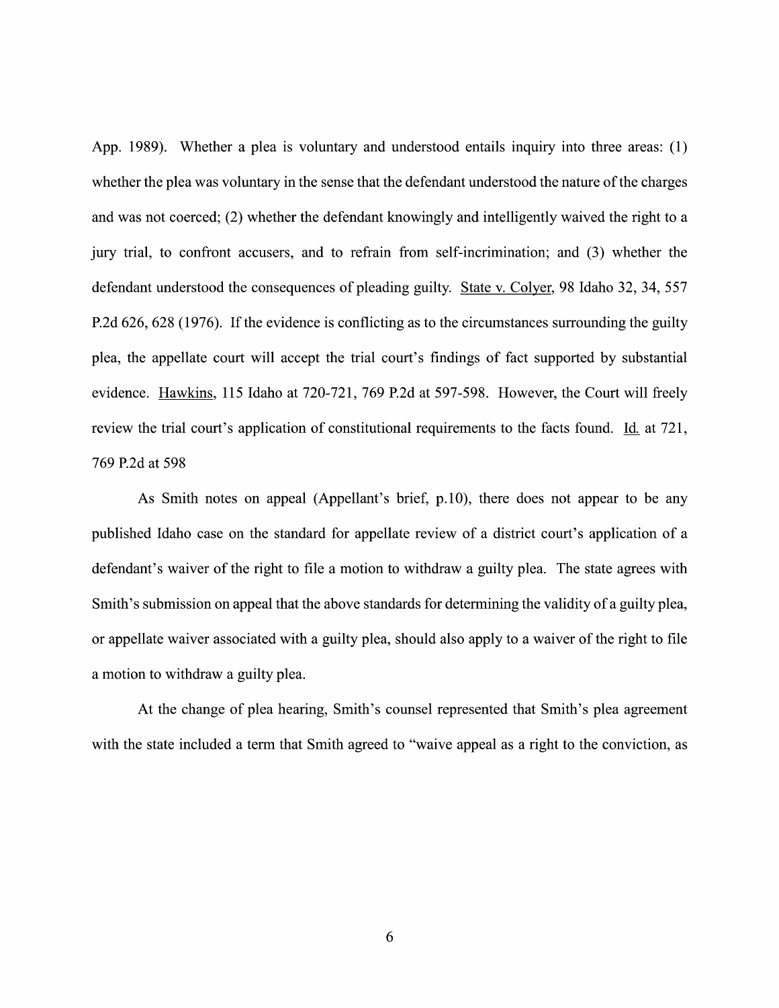App. 1989). Whether a plea is voluntary and understood entails inquiry into three areas:  $(1)$ whether the plea was voluntary in the sense that the defendant understood the nature of the charges and was not coerced; (2) whether the defendant knowingly and intelligently waived the right to a jury trial, to confront accusers, and to refrain from self-incrimination; and (3) whether the defendant understood the consequences of pleading guilty. State v. Colyer, 98 Idaho 32, 34, 557 P.2d 626, 628 (1976). If the evidence is conflicting as to the circumstances surrounding the guilty plea, the appellate court will accept the trial court's findings of fact supported by substantial evidence. Hawkins, 115 Idaho at 720-721, 769 P.2d at 597-598. However, the Court Will freely review the trial court's application of constitutional requirements to the facts found. Id. at 721, 769 P.2d at 598

As Smith notes 0n appeal (Appellant's brief, p.10), there does not appear to be any published Idaho case on the standard for appellate review of a district court's application of a defendant's waiver of the right to file a motion to withdraw a guilty plea. The state agrees with Smith's submission on appeal that the above standards for determining the validity of a guilty plea, or appellate waiver associated with a guilty plea, should also apply to a waiver of the right to file a motion to withdraw a guilty plea.

At the change of plea hearing, Smith's counsel represented that Smith's plea agreement with the state included a term that Smith agreed to "waive appeal as a right to the conviction, as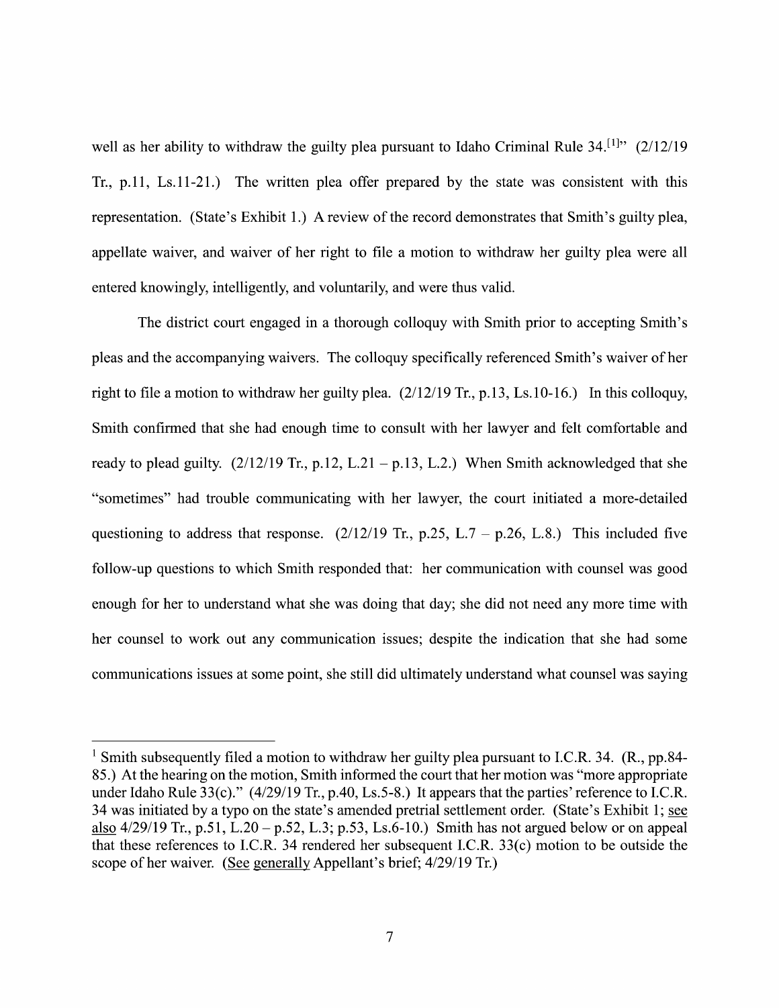well as her ability to withdraw the guilty plea pursuant to Idaho Criminal Rule  $34$ <sup>[1]</sup>" (2/12/19 Tr., p.11, Ls.11-21.) The written plea offer prepared by the state was consistent with this representation. (State's Exhibit 1.) A review of the record demonstrates that Smith's guilty plea, appellate waiver, and waiver of her right to file a motion to withdraw her guilty plea were all entered knowingly, intelligently, and voluntarily, and were thus valid.

The district court engaged in a thorough colloquy with Smith prior to accepting Smith's pleas and the accompanying waivers. The colloquy specifically referenced Smith's waiver 0f her right to file a motion to withdraw her guilty plea.  $(2/12/19$  Tr., p.13, Ls.10-16.) In this colloquy, Smith confirmed that she had enough time to consult with her lawyer and felt comfortable and ready to plead guilty.  $(2/12/19 \text{ Tr}, p.12, L.21 - p.13, L.2.)$  When Smith acknowledged that she "sometimes" had trouble communicating with her lawyer, the court initiated a more-detailed questioning to address that response.  $(2/12/19$  Tr., p.25, L.7 – p.26, L.8.) This included five follow-up questions to which Smith responded that: her communication with counsel was good enough for her to understand what she was doing that day; she did not need any more time with her counsel to work out any communication issues; despite the indication that she had some communications issues at some point, she still did ultimately understand what counsel was saying

<sup>&</sup>lt;sup>1</sup> Smith subsequently filed a motion to withdraw her guilty plea pursuant to I.C.R. 34. (R., pp.84-85.) At the hearing on the motion, Smith informed the court that her motion was "more appropriate under Idaho Rule 33(c)." (4/29/19 Tr., p.40, Ls.5-8.) It appears that the parties' reference to I.C.R. 34 was initiated by a typo on the state's amended pretrial settlement order. (State's Exhibit 1; see also  $4/29/19$  Tr., p.51, L.20 – p.52, L.3; p.53, Ls.6-10.) Smith has not argued below or on appeal that these references to I.C.R. 34 rendered her subsequent I.C.R. 33(c) motion to be outside the scope of her waiver. (See generally Appellant's brief;  $4/29/19$  Tr.)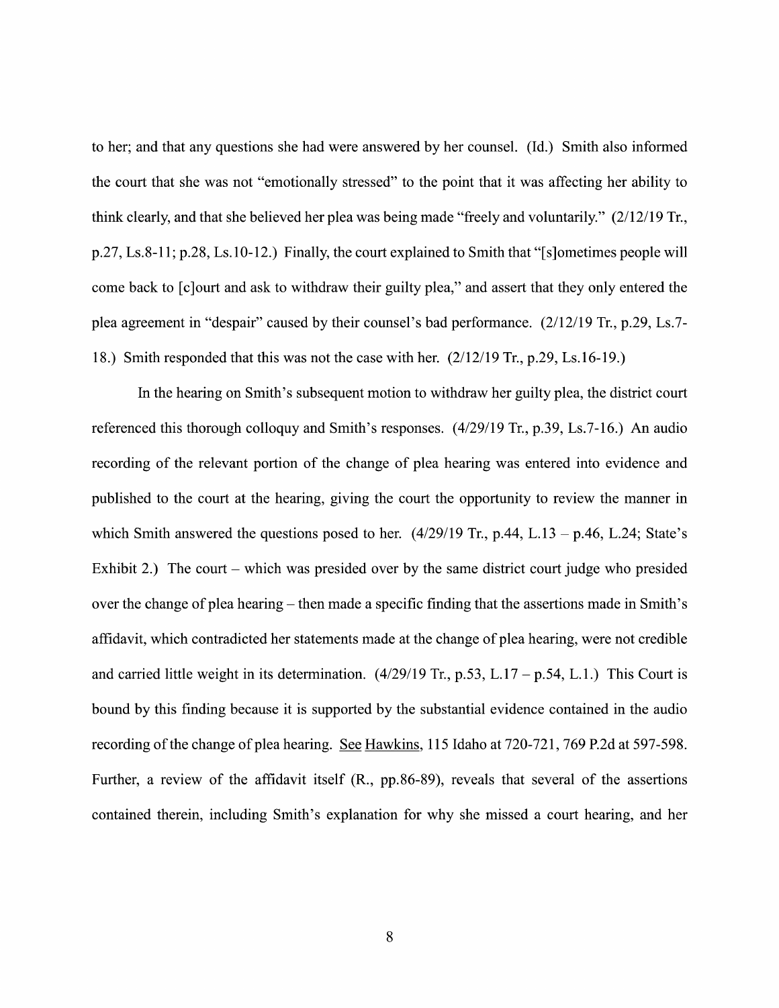to her; and that any questions she had were answered by her counsel. (Id.) Smith also informed the court that she was not "emotionally stressed" to the point that it was affecting her ability to think clearly, and that she believed her plea was being made "freely and voluntarily." (2/12/19 Tr., p.27, Ls.8-11; p.28, Ls.10-12.) Finally, the court explained to Smith that "[s]ometimes people will come back to [c]ourt and ask to withdraw their guilty plea," and assert that they only entered the plea agreement in "despair" caused by their counsel's bad performance.  $(2/12/19$  Tr., p.29, Ls.7-18.) Smith responded that this was not the case with her. (2/12/19 Tr., p.29, Ls.16-19.)

In the hearing on Smith's subsequent motion to withdraw her guilty plea, the district court referenced this thorough colloquy and Smith's responses. (4/29/19 Tr., p.39, Ls.7-16.) An audio recording of the relevant portion of the change of plea hearing was entered into evidence and published to the court at the hearing, giving the court the opportunity to review the manner in which Smith answered the questions posed to her.  $(4/29/19$  Tr., p.44, L.13 - p.46, L.24; State's Exhibit 2.) The court – which was presided over by the same district court judge who presided over the change of plea hearing  $-$  then made a specific finding that the assertions made in Smith's affidavit, Which contradicted her statements made at the change 0f plea hearing, were not credible and carried little weight in its determination.  $(4/29/19 \text{ Tr}, p.53, L.17 - p.54, L.1.)$  This Court is bound by this finding because it is supported by the substantial evidence contained in the audio recording of the change of plea hearing. See Hawkins, 115 Idaho at 720-721, 769 P.2d at 597-598. Further, a review of the affidavit itself  $(R_{.}, pp.86-89)$ , reveals that several of the assertions contained therein, including Smith's explanation for Why she missed a court hearing, and her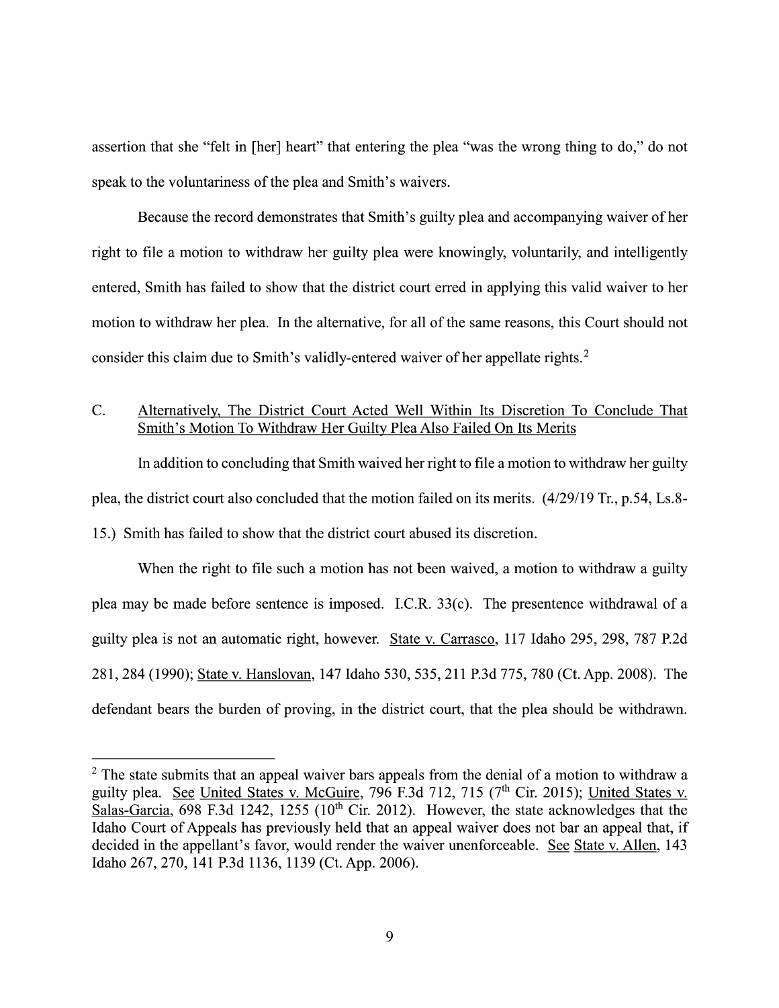assertion that she "felt in [her] heart" that entering the plea "was the wrong thing to d0," do not speak to the voluntariness of the plea and Smith's waivers.

Because the record demonstrates that Smith's guilty plea and accompanying waiver of her right to file a motion to withdraw her guilty plea were knowingly, voluntarily, and intelligently entered, Smith has failed to show that the district court erred in applying this valid waiver to her motion to withdraw her plea. In the alternative, for all of the same reasons, this Court should not consider this claim due to Smith's validly-entered waiver of her appellate rights.<sup>2</sup>

# C. Alternatively, The District Court Acted Well Within Its Discretion To Conclude That Smith's Motion To Withdraw Her Guilty Plea Also Failed On Its Merits

In addition to concluding that Smith waived her right to file a motion to withdraw her guilty plea, the district court also concluded that the motion failed on its merits. (4/29/19 Tr., p.54, Ls.8-15.) Smith has failed to show that the district court abused its discretion.

When the right to file such a motion has not been waived, a motion to withdraw a guilty plea may be made before sentence is imposed. I.C.R. 33(c). The presentence withdrawal of a guilty plea is not an automatic right, however. State V. Carrasco, <sup>117</sup> Idaho 295, 298, <sup>787</sup> P.2d 281, 284 (1990); State V. Hanslovan, 147 Idaho 530, 535, 211 P.3d 775, 780 (Ct. App. 2008). The defendant bears the burden of proving, in the district court, that the plea should be withdrawn.

 $2$  The state submits that an appeal waiver bars appeals from the denial of a motion to withdraw a guilty plea. See United States v. McGuire, 796 F.3d 712, 715 ( $7<sup>th</sup>$  Cir. 2015); United States v. Salas-Garcia, 698 F.3d 1242, 1255 (10<sup>th</sup> Cir. 2012). However, the state acknowledges that the guilty plea. See United States v. McGuire, 796 F.3d 712, 715 (7<sup>th</sup> Cir. 2015); <u>United States v.</u><br>Salas-Garcia, 698 F.3d 1242, 1255 (10<sup>th</sup> Cir. 2012). However, the state acknowledges that the<br>Idaho Court of Appeals has p Idaho 267, 270, 141 P.3d 1136, 1139 (Ct. App. 2006).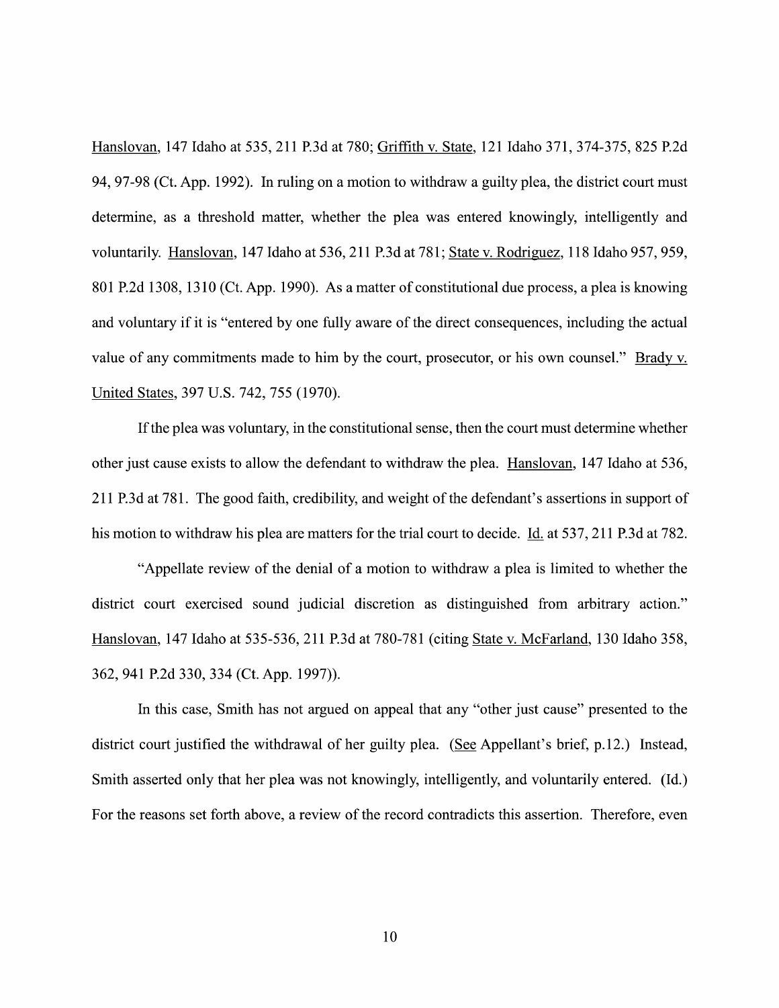Hanslovan, 147 Idaho at 535, 211 P.3d at 780; Griffith V. State, 121 Idaho 371, 374-375, 825 P.2d 94, 97-98 (Ct. App. 1992). In ruling on a motion to withdraw a guilty plea, the district court must determine, as a threshold matter, whether the plea was entered knowingly, intelligently and voluntarily. Hanslovan, 147 Idaho at 536, 211 P.3d at 781; State v. Rodriguez, 118 Idaho 957, 959, 801 P.2d 1308, 1310 (Ct. App. 1990). As a matter of constitutional due process, a plea is knowing and voluntary if it is "entered by one fully aware of the direct consequences, including the actual value of any commitments made to him by the court, prosecutor, or his own counsel." Brady v. United States, 397 U.S. 742, 755 (1970).

If the plea was voluntary, in the constitutional sense, then the court must determine Whether other just cause exists to allow the defendant to withdraw the plea. Hanslovan, 147 Idaho at 536, 211 P.3d at 781. The good faith, credibility, and weight of the defendant's assertions in support 0f his motion to withdraw his plea are matters for the trial court to decide. Id. at 537, 211 P.3d at 782.

"Appellate review of the denial of a motion to withdraw a plea is limited to whether the district court exercised sound judicial discretion as distinguished from arbitrary action." Hanslovan, 147 Idaho at 535-536, 211 P.3d at 780-781 (citing State V. McFarland, 130 Idaho 358, 362, 941 P.2d 330, 334 (Ct. App. 1997)).

In this case, Smith has not argued on appeal that any "other just cause" presented to the district court justified the withdrawal of her guilty plea. (See Appellant's brief, p.12.) Instead, Smith asserted only that her plea was not knowingly, intelligently, and voluntarily entered. (Id.) For the reasons set forth above, a review of the record contradicts this assertion. Therefore, even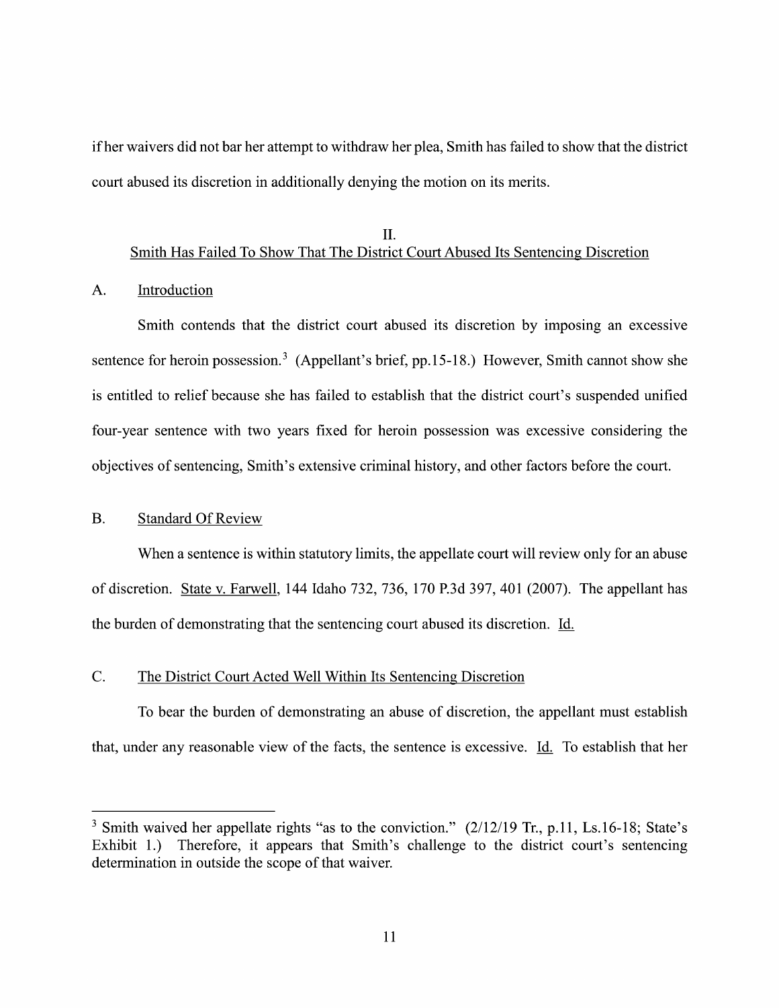if her waivers did not bar her attempt to withdraw her plea, Smith has failed to show that the district court abused its discretion in additionally denying the motion 0n its merits.

#### II. Smith Has Failed To Show That The District Court Abused Its Sentencing Discretion

#### A. Introduction

Smith contends that the district court abused its discretion by imposing an excessive sentence for heroin possession.<sup>3</sup> (Appellant's brief, pp.15-18.) However, Smith cannot show she is entitled to relief because she has failed to establish that the district court's suspended unified four-year sentence with two years fixed for heroin possession was excessive considering the objectives of sentencing, Smith's extensive criminal history, and other factors before the court.

#### B. Standard Of Review

When a sentence is within statutory limits, the appellate court will review only for an abuse 0f discretion. State V. Farwell, 144 Idaho 732, 736, 170 P.3d 397, 401 (2007). The appellant has the burden of demonstrating that the sentencing court abused its discretion. Id.

## C. The District Court Acted Well Within Its Sentencing Discretion

To bear the burden 0f demonstrating an abuse 0f discretion, the appellant must establish that, under any reasonable view of the facts, the sentence is excessive. Id. To establish that her

<sup>&</sup>lt;sup>3</sup> Smith waived her appellate rights "as to the conviction."  $(2/12/19$  Tr., p.11, Ls.16-18; State's Exhibit 1.) Therefore, it appears that Smith's challenge to the district court's sentencing determination in outside the scope of that waiver.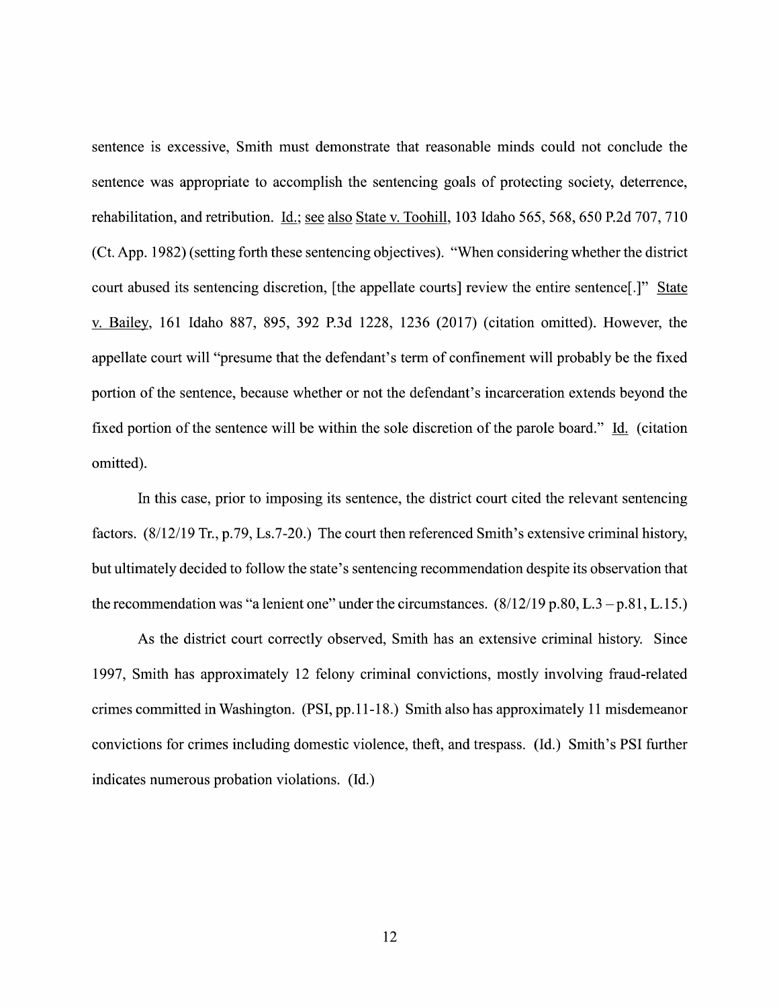sentence is excessive, Smith must demonstrate that reasonable minds could not conclude the sentence was appropriate to accomplish the sentencing goals of protecting society, deterrence, rehabilitation, and retribution. Id.; see also State v. Toohill, 103 Idaho 565, 568, 650 P.2d 707, 710 (Ct. App. 1982) (setting forth these sentencing objectives). "When considering whether the district court abused its sentencing discretion, [the appellate courts] review the entire sentence[.]" State V. Bailey, <sup>161</sup> Idaho 887, 895, <sup>392</sup> P.3d 1228, <sup>1236</sup> (2017) (citation omitted). However, the appellate court will "presume that the defendant's term of confinement will probably be the fixed portion of the sentence, because whether or not the defendant's incarceration extends beyond the fixed portion of the sentence will be within the sole discretion of the parole board." Id. (citation omitted).

In this case, prior to imposing its sentence, the district court cited the relevant sentencing factors. (8/12/19 Tr., p.79, Ls.7-20.) The court then referenced Smith's extensive criminal history, but ultimately decided t0 follow the state's sentencing recommendation despite its observation that the recommendation was "a lenient one" under the circumstances.  $(8/12/19 \text{ p}.80, L.3 - \text{p}.81, L.15)$ 

As the district court correctly observed, Smith has an extensive criminal history. Since 1997, Smith has approximately 12 felony criminal convictions, mostly involving fraud-related crimes committed in Washington. (PSI, pp. 11-18.) Smith also has approximately 11 misdemeanor convictions for crimes including domestic Violence, theft, and trespass. (1d,) Smith's PSI further indicates numerous probation violations. (Id.)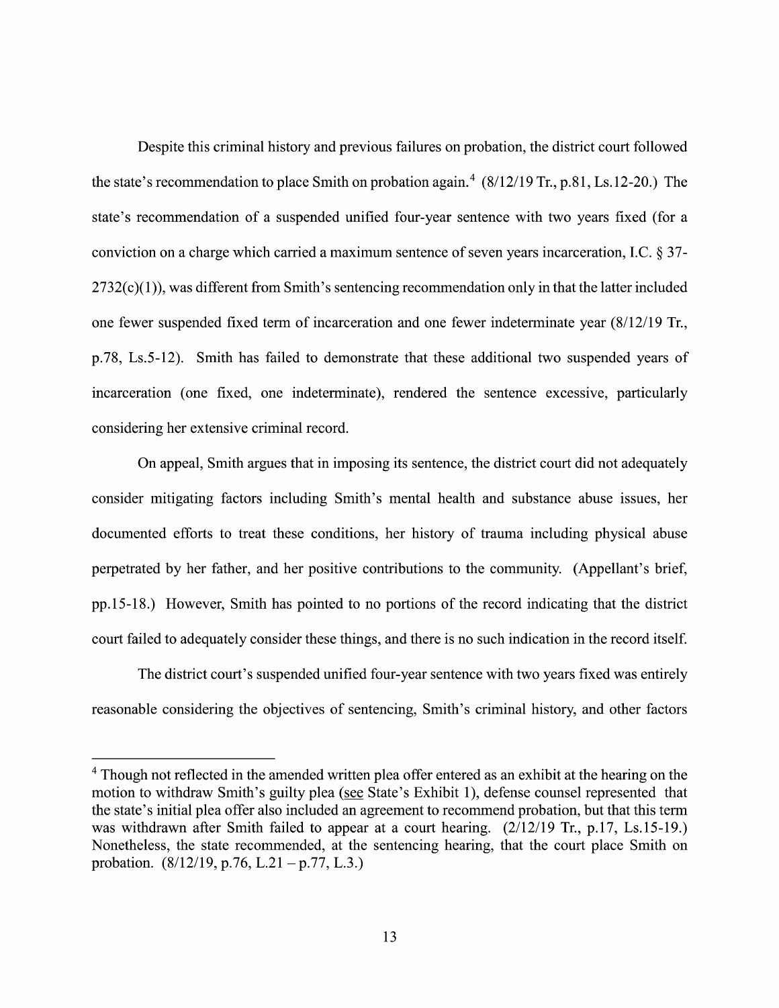Despite this criminal history and previous failures on probation, the district court followed the state's recommendation to place Smith on probation again.<sup>4</sup>  $(8/12/19$  Tr., p.81, Ls. 12-20.) The state's recommendation of a suspended unified four-year sentence with two years fixed (for a conviction on a charge which carried a maximum sentence of seven years incarceration, I.C.  $\S 37$ - $2732(c)(1)$ , was different from Smith's sentencing recommendation only in that the latter included one fewer suspended fixed term of incarceration and one fewer indeterminate year  $(8/12/19)$  Tr., p.78, Ls.5-12). Smith has failed to demonstrate that these additional two suspended years of incarceration (one fixed, one indeterminate), rendered the sentence excessive, particularly considering her extensive criminal record.

On appeal, Smith argues that in imposing its sentence, the district court did not adequately consider mitigating factors including Smith's mental health and substance abuse issues, her documented efforts to treat these conditions, her history of trauma including physical abuse perpetrated by her father, and her positive contributions t0 the community. (Appellant's brief, pp.15-18.) However, Smith has pointed t0 n0 portions of the record indicating that the district court failed to adequately consider these things, and there is no such indication in the record itself.

The district court's suspended unified four-year sentence with two years fixed was entirely reasonable considering the objectives 0f sentencing, Smith's criminal history, and other factors

Though not reflected in the amended written plea offer entered as an exhibit at the hearing on the <sup>4</sup> Though not reflected in the amended written plea offer entered as an exhibit at the hearing on the motion to withdraw Smith's guilty plea (see State's Exhibit 1), defense counsel represented that the state's initial pl was withdrawn after Smith failed to appear at a court hearing.  $(2/12/19$  Tr., p.17, Ls.15-19.) Nonetheless, the state recommended, at the sentencing hearing, that the court place Smith on probation.  $(8/12/19, p.76, L.21 - p.77, L.3.)$